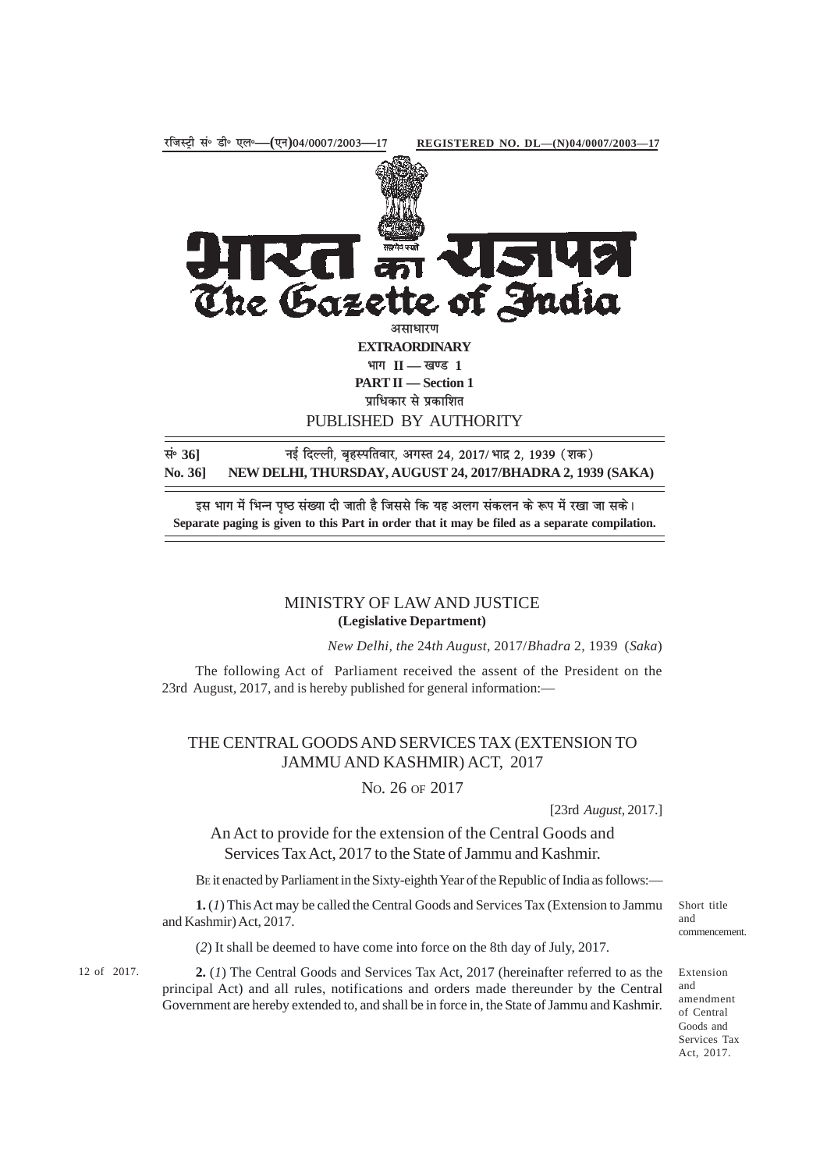

इस भाग में भिन्न पृष्ठ संख्या दी जाती है जिससे कि यह अलग संकलन के रूप में रखा जा सके। **Separate paging is given to this Part in order that it may be filed as a separate compilation.**

## MINISTRY OF LAW AND JUSTICE **(Legislative Department)**

*New Delhi, the* 24*th August,* 2017/*Bhadra* 2*,* 1939 (*Saka*)

The following Act of Parliament received the assent of the President on the 23rd August, 2017, and is hereby published for general information:—

## THE CENTRAL GOODS AND SERVICES TAX (EXTENSION TO JAMMU AND KASHMIR) ACT, 2017

NO. 26 OF 2017

[23rd *August,* 2017.]

An Act to provide for the extension of the Central Goods and Services Tax Act, 2017 to the State of Jammu and Kashmir.

BE it enacted by Parliament in the Sixty-eighth Year of the Republic of India as follows:—

**1.** (*1*) This Act may be called the Central Goods and Services Tax (Extension to Jammu and Kashmir) Act, 2017.

(*2*) It shall be deemed to have come into force on the 8th day of July, 2017.

12 of 2017. **2.** (*I*) The Central Goods and Services Tax Act, 2017 (hereinafter referred to as the Extension principal Act) and all rules, notifications and orders made thereunder by the Central Government are hereby extended to, and shall be in force in, the State of Jammu and Kashmir.

and amendment of Central Goods and Services Tax Act, 2017.

Short title and commencement.